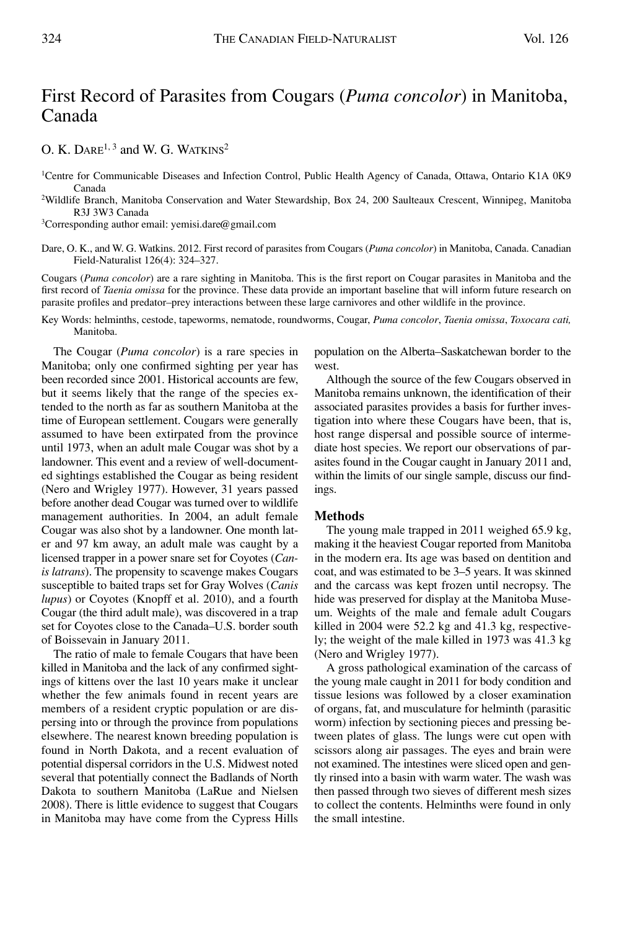# First Record of Parasites from Cougars (*Puma concolor*) in Manitoba, Canada

O. K.  $DARE^{1,3}$  and W. G. WATKINS<sup>2</sup>

- 1Centre for Communicable Diseases and Infection Control, Public Health Agency of Canada, Ottawa, Ontario K1A 0K9 Canada
- 2Wildlife Branch, Manitoba Conservation and Water Stewardship, Box 24, 200 Saulteaux Crescent, Winnipeg, Manitoba R3J 3W3 Canada

 $3$ Corresponding author email: yemisi.dare@gmail.com

Dare, O. K., and W. G. Watkins. 2012. First record of parasites from Cougars (*Puma concolor*) in Manitoba, Canada. Canadian Field-Naturalist 126(4): 324–327.

Cougars (*Puma concolor*) are a rare sighting in Manitoba. This is the first report on Cougar parasites in Manitoba and the first record of *Taenia omissa* for the province. These data provide an important baseline that will inform future research on parasite profiles and predator–prey interactions between these large carnivores and other wildlife in the province.

Key Words: helminths, cestode, tapeworms, nematode, roundworms, Cougar, *Puma concolor*, *Taenia omissa*, *Toxocara cati,* Manitoba.

The Cougar (*Puma concolor*) is a rare species in Manitoba; only one confirmed sighting per year has been recorded since 2001. Historical accounts are few, but it seems likely that the range of the species extended to the north as far as southern Manitoba at the time of European settlement. Cougars were generally assumed to have been extirpated from the province until 1973, when an adult male Cougar was shot by a landowner. This event and a review of well-documented sightings established the Cougar as being resident (Nero and Wrigley 1977). However, 31 years passed before another dead Cougar was turned over to wildlife management authorities. In 2004, an adult female Cougar was also shot by a landowner. One month later and 97 km away, an adult male was caught by a licensed trapper in a power snare set for Coyotes (*Canis latrans*). The propensity to scavenge makes Cougars susceptible to baited traps set for Gray Wolves (*Canis lupus*) or Coyotes (Knopff et al. 2010), and a fourth Cougar (the third adult male), was discovered in a trap set for Coyotes close to the Canada–U.S. border south of Boissevain in January 2011.

The ratio of male to female Cougars that have been killed in Manitoba and the lack of any confirmed sightings of kittens over the last 10 years make it unclear whether the few animals found in recent years are members of a resident cryptic population or are dispersing into or through the province from populations elsewhere. The nearest known breeding population is found in North Dakota, and a recent evaluation of potential dispersal corridors in the U.S. Midwest noted several that potentially connect the Badlands of North Dakota to southern Manitoba (LaRue and Nielsen 2008). There is little evidence to suggest that Cougars in Manitoba may have come from the Cypress Hills

population on the Alberta–Saskatchewan border to the west.

Although the source of the few Cougars observed in Manitoba remains unknown, the identification of their associated parasites provides a basis for further investigation into where these Cougars have been, that is, host range dispersal and possible source of intermediate host species. We report our observations of parasites found in the Cougar caught in January 2011 and, within the limits of our single sample, discuss our findings.

# **Methods**

The young male trapped in 2011 weighed 65.9 kg, making it the heaviest Cougar reported from Manitoba in the modern era. Its age was based on dentition and coat, and was estimated to be 3–5 years. It was skinned and the carcass was kept frozen until necropsy. The hide was preserved for display at the Manitoba Museum. Weights of the male and female adult Cougars killed in 2004 were 52.2 kg and 41.3 kg, respectively; the weight of the male killed in 1973 was 41.3 kg (Nero and Wrigley 1977).

A gross pathological examination of the carcass of the young male caught in 2011 for body condition and tissue lesions was followed by a closer examination of organs, fat, and musculature for helminth (parasitic worm) infection by sectioning pieces and pressing between plates of glass. The lungs were cut open with scissors along air passages. The eyes and brain were not examined. The intestines were sliced open and gently rinsed into a basin with warm water. The wash was then passed through two sieves of different mesh sizes to collect the contents. Helminths were found in only the small intestine.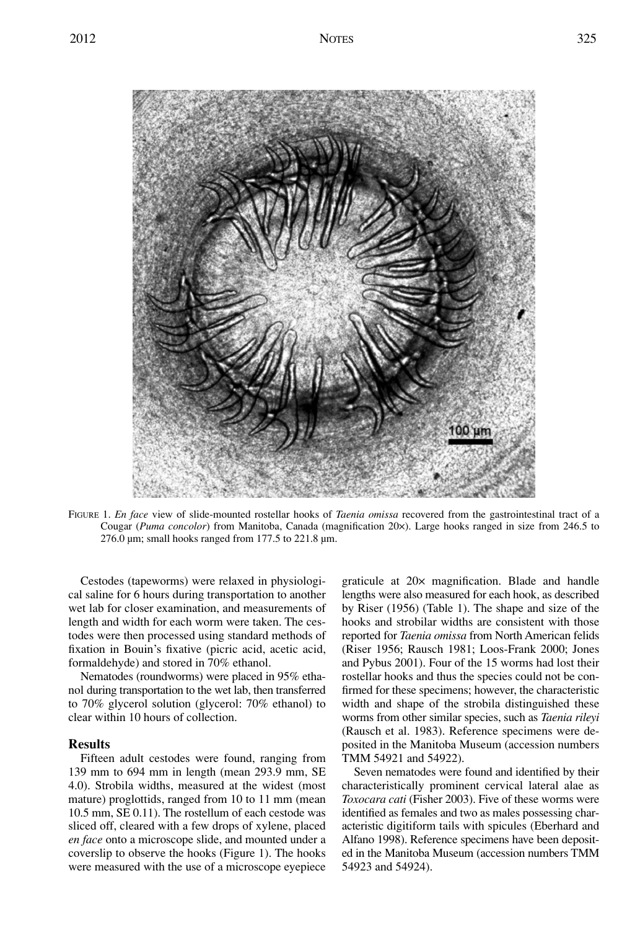

FIGURE 1. *En face* view of slide-mounted rostellar hooks of *Taenia omissa* recovered from the gastrointestinal tract of a Cougar (*Puma concolor*) from Manitoba, Canada (magnification 20×). Large hooks ranged in size from 246.5 to 276.0 µm; small hooks ranged from 177.5 to 221.8 µm.

Cestodes (tapeworms) were relaxed in physiological saline for 6 hours during transportation to another wet lab for closer examination, and measurements of length and width for each worm were taken. The cestodes were then processed using standard methods of fixation in Bouin's fixative (picric acid, acetic acid, formaldehyde) and stored in 70% ethanol.

Nematodes (roundworms) were placed in 95% ethanol during transportation to the wet lab, then transferred to 70% glycerol solution (glycerol: 70% ethanol) to clear within 10 hours of collection.

# **Results**

Fifteen adult cestodes were found, ranging from 139 mm to 694 mm in length (mean 293.9 mm, SE 4.0). Strobila widths, measured at the widest (most mature) proglottids, ranged from 10 to 11 mm (mean 10.5 mm, SE 0.11). The rostellum of each cestode was sliced off, cleared with a few drops of xylene, placed *en face* onto a microscope slide, and mounted under a coverslip to observe the hooks (Figure 1). The hooks were measured with the use of a microscope eyepiece

graticule at 20× magnification. Blade and handle lengths were also measured for each hook, as described by Riser (1956) (Table 1). The shape and size of the hooks and strobilar widths are consistent with those reported for *Taenia omissa* from North American felids (Riser 1956; Rausch 1981; Loos-Frank 2000; Jones and Pybus 2001). Four of the 15 worms had lost their rostellar hooks and thus the species could not be confirmed for these specimens; however, the characteristic width and shape of the strobila distinguished these worms from other similar species, such as *Taenia rileyi* (Rausch et al. 1983). Reference specimens were deposited in the Manitoba Museum (accession numbers TMM 54921 and 54922).

Seven nematodes were found and identified by their characteristically prominent cervical lateral alae as *Toxocara cati* (Fisher 2003). Five of these worms were identified as females and two as males possessing characteristic digitiform tails with spicules (Eberhard and Alfano 1998). Reference specimens have been deposited in the Manitoba Museum (accession numbers TMM 54923 and 54924).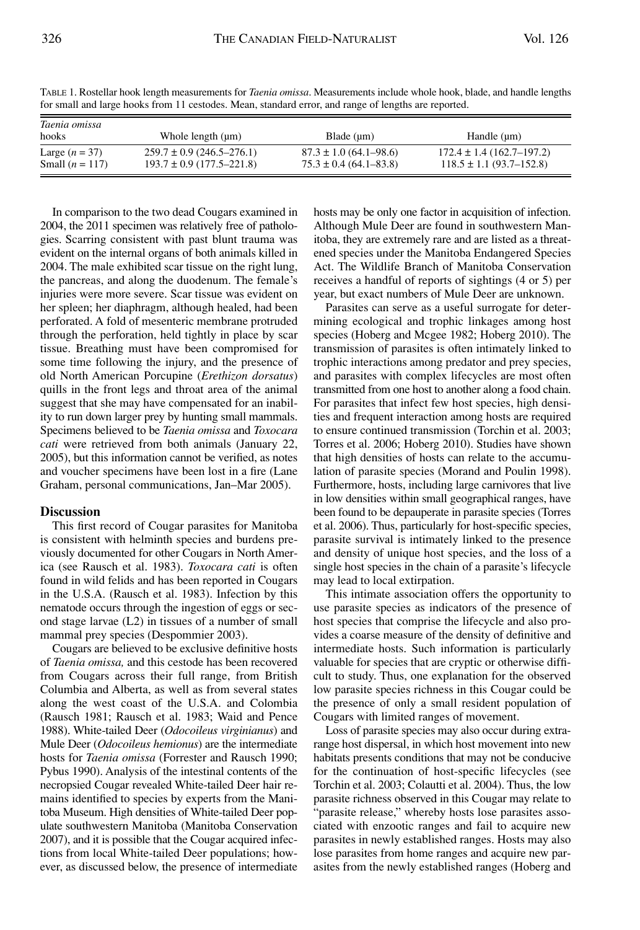| TOI SINAII ANU IAIGU NOOKS ITOIN 11 CESTOUES. MEAN, STANDAIU CHOI, ANU IAIIGU OI IENGIIS AUC IEPOITEU. |                                                                |                                                          |                                                                  |
|--------------------------------------------------------------------------------------------------------|----------------------------------------------------------------|----------------------------------------------------------|------------------------------------------------------------------|
| Taenia omissa<br>hooks                                                                                 | Whole length (um)                                              | Blade (um)                                               | Handle (um)                                                      |
| Large $(n = 37)$<br>Small $(n = 117)$                                                                  | $259.7 \pm 0.9$ (246.5–276.1)<br>$193.7 \pm 0.9$ (177.5–221.8) | $87.3 \pm 1.0$ (64.1–98.6)<br>$75.3 \pm 0.4$ (64.1–83.8) | $172.4 \pm 1.4(162.7 - 197.2)$<br>$118.5 \pm 1.1 (93.7 - 152.8)$ |

TABLE 1. Rostellar hook length measurements for *Taenia omissa*. Measurements include whole hook, blade, and handle lengths for small and large hooks from 11 cestodes. Mean, standard error, and range of lengths are reported.

In comparison to the two dead Cougars examined in 2004, the 2011 specimen was relatively free of pathologies. Scarring consistent with past blunt trauma was evident on the internal organs of both animals killed in 2004. The male exhibited scar tissue on the right lung, the pancreas, and along the duodenum. The female's injuries were more severe. Scar tissue was evident on her spleen; her diaphragm, although healed, had been perforated. A fold of mesenteric membrane protruded through the perforation, held tightly in place by scar tissue. Breathing must have been compromised for some time following the injury, and the presence of old North American Porcupine (*Erethizon dorsatus*) quills in the front legs and throat area of the animal suggest that she may have compensated for an inability to run down larger prey by hunting small mammals. Specimens believed to be *Taenia omissa* and *Toxocara cati* were retrieved from both animals (January 22, 2005), but this information cannot be verified, as notes and voucher specimens have been lost in a fire (Lane Graham, personal communications, Jan–Mar 2005).

#### **Discussion**

This first record of Cougar parasites for Manitoba is consistent with helminth species and burdens previously documented for other Cougars in North America (see Rausch et al. 1983). *Toxocara cati* is often found in wild felids and has been reported in Cougars in the U.S.A. (Rausch et al. 1983). Infection by this nematode occurs through the ingestion of eggs or second stage larvae (L2) in tissues of a number of small mammal prey species (Despommier 2003).

Cougars are believed to be exclusive definitive hosts of *Taenia omissa,* and this cestode has been recovered from Cougars across their full range, from British Columbia and Alberta, as well as from several states along the west coast of the U.S.A. and Colombia (Rausch 1981; Rausch et al. 1983; Waid and Pence 1988). White-tailed Deer (*Odocoileus virginianus*) and Mule Deer (*Odocoileus hemionus*) are the intermediate hosts for *Taenia omissa* (Forrester and Rausch 1990; Pybus 1990). Analysis of the intestinal contents of the necropsied Cougar revealed White-tailed Deer hair remains identified to species by experts from the Manitoba Museum. High densities of White-tailed Deer populate southwestern Manitoba (Manitoba Conservation 2007), and it is possible that the Cougar acquired infections from local White-tailed Deer populations; however, as discussed below, the presence of intermediate hosts may be only one factor in acquisition of infection. Although Mule Deer are found in southwestern Manitoba, they are extremely rare and are listed as a threatened species under the Manitoba Endangered Species Act. The Wildlife Branch of Manitoba Conservation receives a handful of reports of sightings (4 or 5) per year, but exact numbers of Mule Deer are unknown.

Parasites can serve as a useful surrogate for determining ecological and trophic linkages among host species (Hoberg and Mcgee 1982; Hoberg 2010). The transmission of parasites is often intimately linked to trophic interactions among predator and prey species, and parasites with complex lifecycles are most often transmitted from one host to another along a food chain. For parasites that infect few host species, high densities and frequent interaction among hosts are required to ensure continued transmission (Torchin et al. 2003; Torres et al. 2006; Hoberg 2010). Studies have shown that high densities of hosts can relate to the accumulation of parasite species (Morand and Poulin 1998). Furthermore, hosts, including large carnivores that live in low densities within small geographical ranges, have been found to be depauperate in parasite species (Torres et al. 2006). Thus, particularly for host-specific species, parasite survival is intimately linked to the presence and density of unique host species, and the loss of a single host species in the chain of a parasite's lifecycle may lead to local extirpation.

This intimate association offers the opportunity to use parasite species as indicators of the presence of host species that comprise the lifecycle and also provides a coarse measure of the density of definitive and intermediate hosts. Such information is particularly valuable for species that are cryptic or otherwise difficult to study. Thus, one explanation for the observed low parasite species richness in this Cougar could be the presence of only a small resident population of Cougars with limited ranges of movement.

Loss of parasite species may also occur during extrarange host dispersal, in which host movement into new habitats presents conditions that may not be conducive for the continuation of host-specific lifecycles (see Torchin et al. 2003; Colautti et al. 2004). Thus, the low parasite richness observed in this Cougar may relate to "parasite release," whereby hosts lose parasites associated with enzootic ranges and fail to acquire new parasites in newly established ranges. Hosts may also lose parasites from home ranges and acquire new parasites from the newly established ranges (Hoberg and